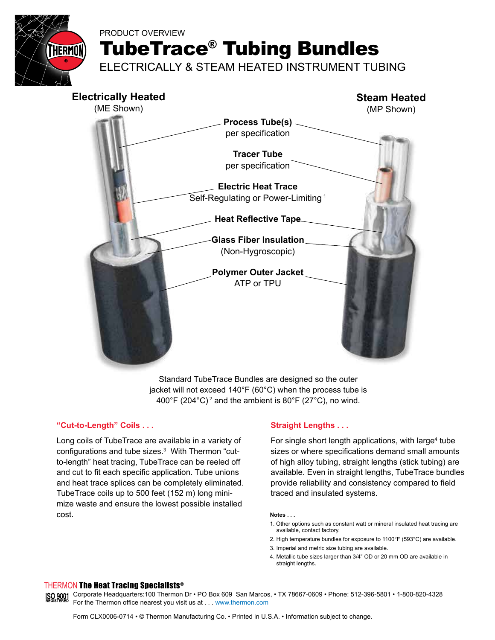

# PRODUCT OVERVIEW

TubeTrace® Tubing Bundles

ELECTRICALLY & STEAM HEATED INSTRUMENT TUBING



Standard TubeTrace Bundles are designed so the outer jacket will not exceed 140°F (60°C) when the process tube is 400°F (204°C)<sup>2</sup> and the ambient is 80°F (27°C), no wind.

### **"Cut-to-Length" Coils . . .**

Long coils of TubeTrace are available in a variety of configurations and tube sizes.<sup>3</sup> With Thermon "cutto-length" heat tracing, TubeTrace can be reeled off and cut to fit each specific application. Tube unions and heat trace splices can be completely eliminated. TubeTrace coils up to 500 feet (152 m) long minimize waste and ensure the lowest possible installed cost.

## **Straight Lengths . . .**

For single short length applications, with large<sup>4</sup> tube sizes or where specifications demand small amounts of high alloy tubing, straight lengths (stick tubing) are available. Even in straight lengths, TubeTrace bundles provide reliability and consistency compared to field traced and insulated systems.

#### **Notes . . .**

- 1. Other options such as constant watt or mineral insulated heat tracing are available, contact factory.
- 2. High temperature bundles for exposure to 1100°F (593°C) are available.
- 3. Imperial and metric size tubing are available.
- 4. Metallic tube sizes larger than 3/4" OD or 20 mm OD are available in straight lengths.

#### THERMON The Heat Tracing Specialists®

ISO 9001 Corporate Headquarters:100 Thermon Dr • PO Box 609 San Marcos, • TX 78667-0609 • Phone: 512-396-5801 • 1-800-820-4328 For the Thermon office nearest you visit us at . . . www.thermon.com